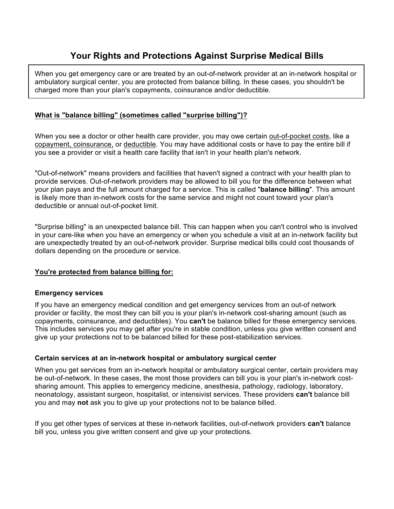# **Your Rights and Protections Against Surprise Medical Bills**

When you get emergency care or are treated by an out-of-network provider at an in-network hospital or ambulatory surgical center, you are protected from balance billing. In these cases, you shouldn't be charged more than your plan's copayments, coinsurance and/or deductible.

#### **What is "balance billing" (sometimes called "surprise billing")?**

When you see a doctor or other health care provider, you may owe certain out-of-pocket costs, like a copayment, coinsurance, or deductible. You may have additional costs or have to pay the entire bill if you see a provider or visit a health care facility that isn't in your health plan's network.

"Out-of-network" means providers and facilities that haven't signed a contract with your health plan to provide services. Out-of-network providers may be allowed to bill you for the difference between what your plan pays and the full amount charged for a service. This is called "**balance billing**". This amount is likely more than in-network costs for the same service and might not count toward your plan's deductible or annual out-of-pocket limit.

"Surprise billing" is an unexpected balance bill. This can happen when you can't control who is involved in your care-like when you have an emergency or when you schedule a visit at an in-network facility but are unexpectedly treated by an out-of-network provider. Surprise medical bills could cost thousands of dollars depending on the procedure or service.

#### **You're protected from balance billing for:**

#### **Emergency services**

If you have an emergency medical condition and get emergency services from an out-of network provider or facility, the most they can bill you is your plan's in-network cost-sharing amount (such as copayments, coinsurance, and deductibles). You **can't** be balance billed for these emergency services. This includes services you may get after you're in stable condition, unless you give written consent and give up your protections not to be balanced billed for these post-stabilization services.

#### **Certain services at an in-network hospital or ambulatory surgical center**

When you get services from an in-network hospital or ambulatory surgical center, certain providers may be out-of-network. In these cases, the most those providers can bill you is your plan's in-network costsharing amount. This applies to emergency medicine, anesthesia, pathology, radiology, laboratory, neonatology, assistant surgeon, hospitalist, or intensivist services. These providers **can't** balance bill you and may **not** ask you to give up your protections not to be balance billed.

If you get other types of services at these in-network facilities, out-of-network providers **can't** balance bill you, unless you give written consent and give up your protections.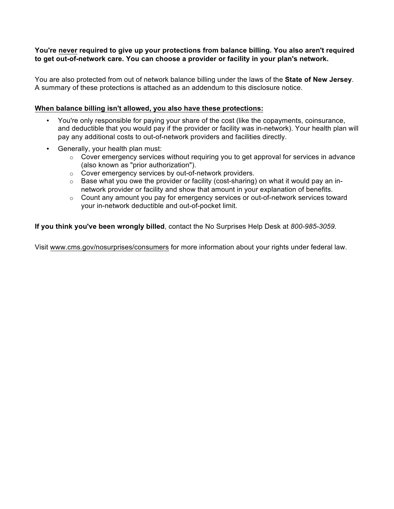#### **You're never required to give up your protections from balance billing. You also aren't required to get out-of-network care. You can choose a provider or facility in your plan's network.**

You are also protected from out of network balance billing under the laws of the **State of New Jersey**. A summary of these protections is attached as an addendum to this disclosure notice.

#### **When balance billing isn't allowed, you also have these protections:**

- You're only responsible for paying your share of the cost (like the copayments, coinsurance, and deductible that you would pay if the provider or facility was in-network). Your health plan will pay any additional costs to out-of-network providers and facilities directly.
- Generally, your health plan must:
	- $\circ$  Cover emergency services without requiring you to get approval for services in advance (also known as "prior authorization").
	- o Cover emergency services by out-of-network providers.
	- $\circ$  Base what you owe the provider or facility (cost-sharing) on what it would pay an innetwork provider or facility and show that amount in your explanation of benefits.
	- o Count any amount you pay for emergency services or out-of-network services toward your in-network deductible and out-of-pocket limit.

**If you think you've been wrongly billed**, contact the No Surprises Help Desk at *800-985-3059.*

Visit www.cms.gov/nosurprises/consumers for more information about your rights under federal law.